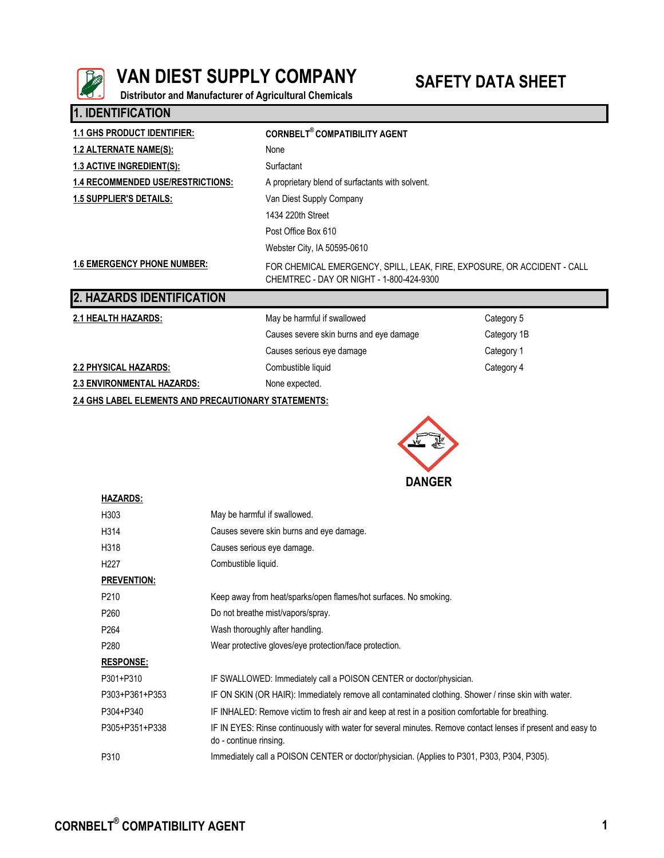

**1. IDENTIFICATION**

# **VAN DIEST SUPPLY COMPANY** SAFETY DATA SHEET

**Distributor and Manufacturer of Agricultural Chemicals**

| <u>LIPLNIII IVAIIVII</u>                             |                                                                                                                     |             |  |  |
|------------------------------------------------------|---------------------------------------------------------------------------------------------------------------------|-------------|--|--|
| <b>1.1 GHS PRODUCT IDENTIFIER:</b>                   | <b>CORNBELT<sup>®</sup> COMPATIBILITY AGENT</b>                                                                     |             |  |  |
| <u>1.2 ALTERNATE NAME(S):</u>                        | None                                                                                                                |             |  |  |
| <b>1.3 ACTIVE INGREDIENT(S):</b>                     | Surfactant                                                                                                          |             |  |  |
| <b>1.4 RECOMMENDED USE/RESTRICTIONS:</b>             | A proprietary blend of surfactants with solvent.                                                                    |             |  |  |
| <b>1.5 SUPPLIER'S DETAILS:</b>                       | Van Diest Supply Company                                                                                            |             |  |  |
|                                                      | 1434 220th Street                                                                                                   |             |  |  |
|                                                      | Post Office Box 610                                                                                                 |             |  |  |
|                                                      | Webster City, IA 50595-0610                                                                                         |             |  |  |
| <b>1.6 EMERGENCY PHONE NUMBER:</b>                   | FOR CHEMICAL EMERGENCY, SPILL, LEAK, FIRE, EXPOSURE, OR ACCIDENT - CALL<br>CHEMTREC - DAY OR NIGHT - 1-800-424-9300 |             |  |  |
| 2. HAZARDS IDENTIFICATION                            |                                                                                                                     |             |  |  |
| <b>2.1 HEALTH HAZARDS:</b>                           | May be harmful if swallowed                                                                                         | Category 5  |  |  |
|                                                      | Causes severe skin burns and eye damage                                                                             | Category 1B |  |  |
|                                                      | Causes serious eye damage                                                                                           | Category 1  |  |  |
| 2.2 PHYSICAL HAZARDS:                                | Combustible liquid<br>Category 4                                                                                    |             |  |  |
| <b>2.3 ENVIRONMENTAL HAZARDS:</b>                    | None expected.                                                                                                      |             |  |  |
| 2.4 GHS LABEL ELEMENTS AND PRECAUTIONARY STATEMENTS: |                                                                                                                     |             |  |  |



| <b>HAZARDS:</b>    |                                                                                                                                       |
|--------------------|---------------------------------------------------------------------------------------------------------------------------------------|
| H303               | May be harmful if swallowed.                                                                                                          |
| H314               | Causes severe skin burns and eye damage.                                                                                              |
| H318               | Causes serious eye damage.                                                                                                            |
| H <sub>227</sub>   | Combustible liquid.                                                                                                                   |
| <b>PREVENTION:</b> |                                                                                                                                       |
| P <sub>210</sub>   | Keep away from heat/sparks/open flames/hot surfaces. No smoking.                                                                      |
| P <sub>260</sub>   | Do not breathe mist/vapors/spray.                                                                                                     |
| P <sub>264</sub>   | Wash thoroughly after handling.                                                                                                       |
| P <sub>280</sub>   | Wear protective gloves/eye protection/face protection.                                                                                |
| <b>RESPONSE:</b>   |                                                                                                                                       |
| P301+P310          | IF SWALLOWED: Immediately call a POISON CENTER or doctor/physician.                                                                   |
| P303+P361+P353     | IF ON SKIN (OR HAIR): Immediately remove all contaminated clothing. Shower / rinse skin with water.                                   |
| P304+P340          | IF INHALED: Remove victim to fresh air and keep at rest in a position comfortable for breathing.                                      |
| P305+P351+P338     | IF IN EYES: Rinse continuously with water for several minutes. Remove contact lenses if present and easy to<br>do - continue rinsing. |
| P310               | Immediately call a POISON CENTER or doctor/physician. (Applies to P301, P303, P304, P305).                                            |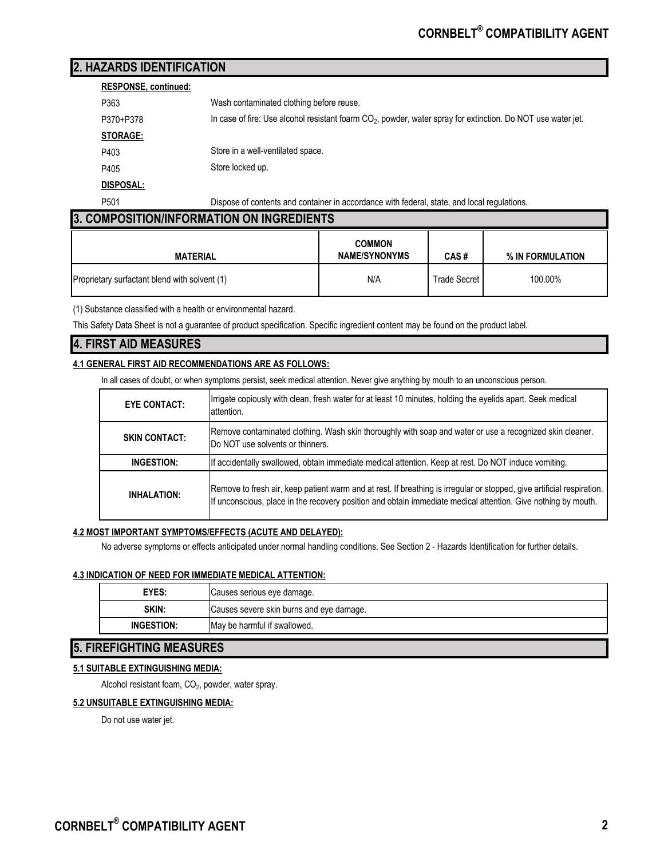# **2. HAZARDS IDENTIFICATION**

### **RESPONSE, continued:**

| P363             | Wash contaminated clothing before reuse.                                                                       |
|------------------|----------------------------------------------------------------------------------------------------------------|
| P370+P378        | In case of fire: Use alcohol resistant foarm $CO2$ , powder, water spray for extinction. Do NOT use water jet. |
| <b>STORAGE:</b>  |                                                                                                                |
| P403             | Store in a well-ventilated space.                                                                              |
| P405             | Store locked up.                                                                                               |
| DISPOSAL:        |                                                                                                                |
| P <sub>501</sub> | Dispose of contents and container in accordance with federal, state, and local regulations.                    |

# **3. COMPOSITION/INFORMATION ON INGREDIENTS**

| <b>MATERIAL</b>                               | <b>COMMON</b><br><b>NAME/SYNONYMS</b> | CAS#         | % IN FORMULATION |
|-----------------------------------------------|---------------------------------------|--------------|------------------|
| Proprietary surfactant blend with solvent (1) | N/A                                   | Trade Secret | 100.00%          |

(1) Substance classified with a health or environmental hazard.

This Safety Data Sheet is not a guarantee of product specification. Specific ingredient content may be found on the product label.

# **4. FIRST AID MEASURES**

#### **4.1 GENERAL FIRST AID RECOMMENDATIONS ARE AS FOLLOWS:**

In all cases of doubt, or when symptoms persist, seek medical attention. Never give anything by mouth to an unconscious person.

| <b>EYE CONTACT:</b>  | Irrigate copiously with clean, fresh water for at least 10 minutes, holding the eyelids apart. Seek medical<br>attention.                                                                                                               |
|----------------------|-----------------------------------------------------------------------------------------------------------------------------------------------------------------------------------------------------------------------------------------|
| <b>SKIN CONTACT:</b> | Remove contaminated clothing. Wash skin thoroughly with soap and water or use a recognized skin cleaner.<br>Do NOT use solvents or thinners.                                                                                            |
| INGESTION:           | If accidentally swallowed, obtain immediate medical attention. Keep at rest. Do NOT induce vomiting.                                                                                                                                    |
| <b>INHALATION:</b>   | Remove to fresh air, keep patient warm and at rest. If breathing is irregular or stopped, give artificial respiration.<br>If unconscious, place in the recovery position and obtain immediate medical attention. Give nothing by mouth. |

#### **4.2 MOST IMPORTANT SYMPTOMS/EFFECTS (ACUTE AND DELAYED):**

No adverse symptoms or effects anticipated under normal handling conditions. See Section 2 - Hazards Identification for further details.

#### **4.3 INDICATION OF NEED FOR IMMEDIATE MEDICAL ATTENTION:**

| EYES:      | Causes serious eye damage.               |
|------------|------------------------------------------|
| SKIN:      | Causes severe skin burns and eye damage. |
| INGESTION: | May be harmful if swallowed.             |
|            |                                          |

# **5. FIREFIGHTING MEASURES**

## **5.1 SUITABLE EXTINGUISHING MEDIA:**

Alcohol resistant foam,  $\mathrm{CO}_2$ , powder, water spray.

#### **5.2 UNSUITABLE EXTINGUISHING MEDIA:**

Do not use water jet.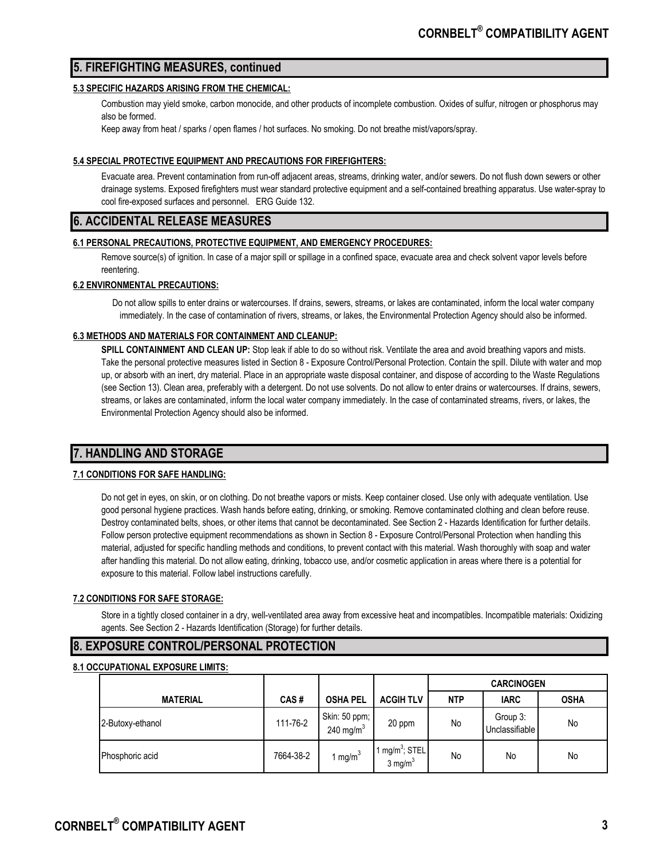# **5. FIREFIGHTING MEASURES, continued**

#### **5.3 SPECIFIC HAZARDS ARISING FROM THE CHEMICAL:**

Combustion may yield smoke, carbon monocide, and other products of incomplete combustion. Oxides of sulfur, nitrogen or phosphorus may also be formed.

Keep away from heat / sparks / open flames / hot surfaces. No smoking. Do not breathe mist/vapors/spray.

#### **5.4 SPECIAL PROTECTIVE EQUIPMENT AND PRECAUTIONS FOR FIREFIGHTERS:**

Evacuate area. Prevent contamination from run-off adjacent areas, streams, drinking water, and/or sewers. Do not flush down sewers or other drainage systems. Exposed firefighters must wear standard protective equipment and a self-contained breathing apparatus. Use water-spray to cool fire-exposed surfaces and personnel. ERG Guide 132.

## **6. ACCIDENTAL RELEASE MEASURES**

#### **6.1 PERSONAL PRECAUTIONS, PROTECTIVE EQUIPMENT, AND EMERGENCY PROCEDURES:**

Remove source(s) of ignition. In case of a major spill or spillage in a confined space, evacuate area and check solvent vapor levels before reentering.

#### **6.2 ENVIRONMENTAL PRECAUTIONS:**

Do not allow spills to enter drains or watercourses. If drains, sewers, streams, or lakes are contaminated, inform the local water company immediately. In the case of contamination of rivers, streams, or lakes, the Environmental Protection Agency should also be informed.

#### **6.3 METHODS AND MATERIALS FOR CONTAINMENT AND CLEANUP:**

**SPILL CONTAINMENT AND CLEAN UP:** Stop leak if able to do so without risk. Ventilate the area and avoid breathing vapors and mists. Take the personal protective measures listed in Section 8 - Exposure Control/Personal Protection. Contain the spill. Dilute with water and mop up, or absorb with an inert, dry material. Place in an appropriate waste disposal container, and dispose of according to the Waste Regulations (see Section 13). Clean area, preferably with a detergent. Do not use solvents. Do not allow to enter drains or watercourses. If drains, sewers, streams, or lakes are contaminated, inform the local water company immediately. In the case of contaminated streams, rivers, or lakes, the Environmental Protection Agency should also be informed.

# **7. HANDLING AND STORAGE**

#### **7.1 CONDITIONS FOR SAFE HANDLING:**

Do not get in eyes, on skin, or on clothing. Do not breathe vapors or mists. Keep container closed. Use only with adequate ventilation. Use good personal hygiene practices. Wash hands before eating, drinking, or smoking. Remove contaminated clothing and clean before reuse. Destroy contaminated belts, shoes, or other items that cannot be decontaminated. See Section 2 - Hazards Identification for further details. Follow person protective equipment recommendations as shown in Section 8 - Exposure Control/Personal Protection when handling this material, adjusted for specific handling methods and conditions, to prevent contact with this material. Wash thoroughly with soap and water after handling this material. Do not allow eating, drinking, tobacco use, and/or cosmetic application in areas where there is a potential for exposure to this material. Follow label instructions carefully.

#### **7.2 CONDITIONS FOR SAFE STORAGE:**

Store in a tightly closed container in a dry, well-ventilated area away from excessive heat and incompatibles. Incompatible materials: Oxidizing agents. See Section 2 - Hazards Identification (Storage) for further details.

# **8. EXPOSURE CONTROL/PERSONAL PROTECTION**

#### **8.1 OCCUPATIONAL EXPOSURE LIMITS:**

|                  |           |                               |                                          |            | <b>CARCINOGEN</b>          |             |
|------------------|-----------|-------------------------------|------------------------------------------|------------|----------------------------|-------------|
| <b>MATERIAL</b>  | CAS#      | <b>OSHA PEL</b>               | <b>ACGIH TLV</b>                         | <b>NTP</b> | <b>IARC</b>                | <b>OSHA</b> |
| 2-Butoxy-ethanol | 111-76-2  | Skin: 50 ppm;<br>240 mg/m $3$ | 20 ppm                                   | No         | Group 3:<br>Unclassifiable | No          |
| Phosphoric acid  | 7664-38-2 | mg/m $3$                      | $mg/m^3$ ; STEL<br>$3$ mg/m <sup>3</sup> | No         | No                         | No          |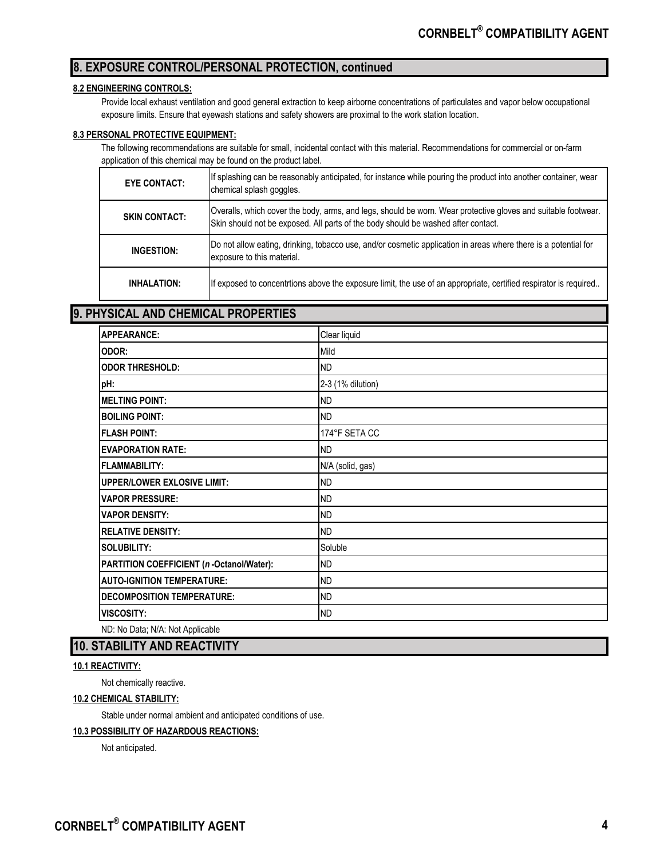# **8. EXPOSURE CONTROL/PERSONAL PROTECTION, continued**

#### **8.2 ENGINEERING CONTROLS:**

Provide local exhaust ventilation and good general extraction to keep airborne concentrations of particulates and vapor below occupational exposure limits. Ensure that eyewash stations and safety showers are proximal to the work station location.

#### **8.3 PERSONAL PROTECTIVE EQUIPMENT:**

The following recommendations are suitable for small, incidental contact with this material. Recommendations for commercial or on-farm application of this chemical may be found on the product label.

| <b>EYE CONTACT:</b>  | If splashing can be reasonably anticipated, for instance while pouring the product into another container, wear<br>chemical splash goggles.                                                        |
|----------------------|----------------------------------------------------------------------------------------------------------------------------------------------------------------------------------------------------|
| <b>SKIN CONTACT:</b> | Overalls, which cover the body, arms, and legs, should be worn. Wear protective gloves and suitable footwear.<br>Skin should not be exposed. All parts of the body should be washed after contact. |
| INGESTION:           | Do not allow eating, drinking, tobacco use, and/or cosmetic application in areas where there is a potential for<br>exposure to this material.                                                      |
| <b>INHALATION:</b>   | If exposed to concentrtions above the exposure limit, the use of an appropriate, certified respirator is required                                                                                  |

#### **9. PHYSICAL AND CHEMICAL PROPERTIES**

| <b>APPEARANCE:</b>                       | Clear liquid      |
|------------------------------------------|-------------------|
| ODOR:                                    | Mild              |
| <b>ODOR THRESHOLD:</b>                   | <b>ND</b>         |
| pH:                                      | 2-3 (1% dilution) |
| <b>MELTING POINT:</b>                    | <b>ND</b>         |
| <b>BOILING POINT:</b>                    | <b>ND</b>         |
| <b>FLASH POINT:</b>                      | 174°F SETA CC     |
| <b>EVAPORATION RATE:</b>                 | <b>ND</b>         |
| <b>FLAMMABILITY:</b>                     | N/A (solid, gas)  |
| <b>UPPER/LOWER EXLOSIVE LIMIT:</b>       | <b>ND</b>         |
| <b>VAPOR PRESSURE:</b>                   | <b>ND</b>         |
| <b>VAPOR DENSITY:</b>                    | <b>ND</b>         |
| <b>RELATIVE DENSITY:</b>                 | <b>ND</b>         |
| <b>SOLUBILITY:</b>                       | Soluble           |
| PARTITION COEFFICIENT (n-Octanol/Water): | <b>ND</b>         |
| <b>AUTO-IGNITION TEMPERATURE:</b>        | <b>ND</b>         |
| <b>DECOMPOSITION TEMPERATURE:</b>        | <b>ND</b>         |
| <b>VISCOSITY:</b>                        | ND                |
| ND: No Data; N/A: Not Applicable         |                   |

# **10. STABILITY AND REACTIVITY**

#### **10.1 REACTIVITY:**

Not chemically reactive.

#### **10.2 CHEMICAL STABILITY:**

Stable under normal ambient and anticipated conditions of use.

#### **10.3 POSSIBILITY OF HAZARDOUS REACTIONS:**

Not anticipated.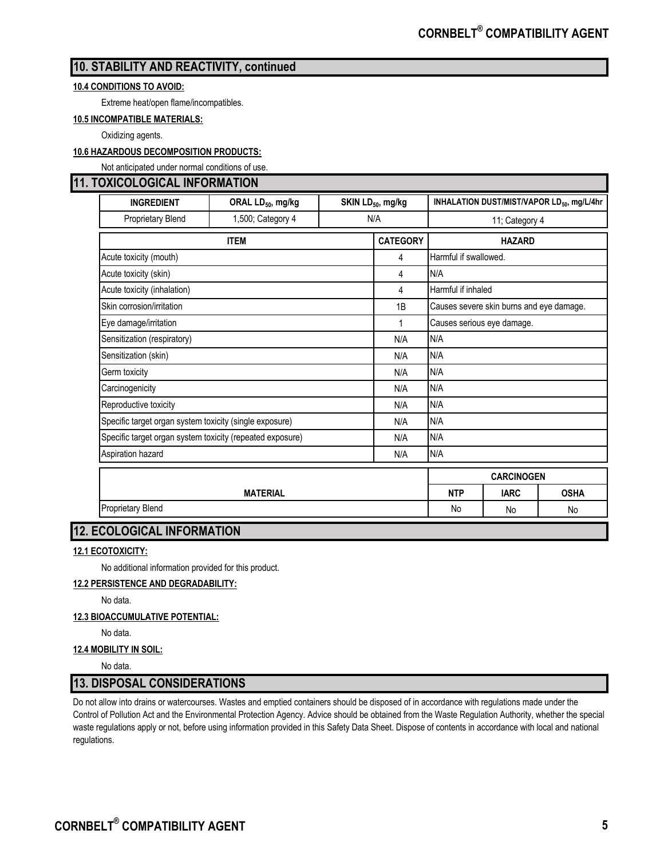# **10. STABILITY AND REACTIVITY, continued**

#### **10.4 CONDITIONS TO AVOID:**

Extreme heat/open flame/incompatibles.

**10.5 INCOMPATIBLE MATERIALS:**

Oxidizing agents.

#### **10.6 HAZARDOUS DECOMPOSITION PRODUCTS:**

Not anticipated under normal conditions of use.

# **11. TOXICOLOGICAL INFORMATION**

| ווטווראווט וווו שמטשטשטאט                                 |                               |                               |                 |                                                        |                                          |             |  |
|-----------------------------------------------------------|-------------------------------|-------------------------------|-----------------|--------------------------------------------------------|------------------------------------------|-------------|--|
| <b>INGREDIENT</b>                                         | ORAL LD <sub>50</sub> , mg/kg | SKIN LD <sub>50</sub> , mg/kg |                 | INHALATION DUST/MIST/VAPOR LD <sub>50</sub> , mg/L/4hr |                                          |             |  |
| Proprietary Blend                                         | 1,500; Category 4             | N/A                           |                 | 11; Category 4                                         |                                          |             |  |
|                                                           | <b>ITEM</b>                   |                               | <b>CATEGORY</b> | <b>HAZARD</b>                                          |                                          |             |  |
| Acute toxicity (mouth)                                    |                               |                               | 4               | Harmful if swallowed.                                  |                                          |             |  |
| Acute toxicity (skin)                                     |                               |                               | 4               | N/A                                                    |                                          |             |  |
| Acute toxicity (inhalation)                               |                               |                               | 4               |                                                        | Harmful if inhaled                       |             |  |
| Skin corrosion/irritation                                 |                               |                               | 1B              |                                                        | Causes severe skin burns and eye damage. |             |  |
| Eye damage/irritation                                     |                               |                               | $\mathbf 1$     | Causes serious eye damage.                             |                                          |             |  |
| Sensitization (respiratory)                               |                               |                               | N/A             | N/A                                                    |                                          |             |  |
| Sensitization (skin)                                      |                               |                               | N/A             | N/A                                                    |                                          |             |  |
| Germ toxicity                                             |                               | N/A                           | N/A             |                                                        |                                          |             |  |
| Carcinogenicity                                           |                               | N/A                           | N/A             |                                                        |                                          |             |  |
| Reproductive toxicity                                     |                               |                               | N/A             | N/A                                                    |                                          |             |  |
| Specific target organ system toxicity (single exposure)   |                               |                               | N/A             | N/A                                                    |                                          |             |  |
| Specific target organ system toxicity (repeated exposure) |                               | N/A                           | N/A             |                                                        |                                          |             |  |
| Aspiration hazard                                         |                               |                               | N/A             | N/A                                                    |                                          |             |  |
|                                                           |                               |                               |                 |                                                        | <b>CARCINOGEN</b>                        |             |  |
|                                                           | <b>MATERIAL</b>               |                               |                 | <b>NTP</b>                                             | <b>IARC</b>                              | <b>OSHA</b> |  |
| <b>Proprietary Blend</b>                                  |                               |                               |                 | No                                                     | No                                       | No          |  |

# **12. ECOLOGICAL INFORMATION**

#### **12.1 ECOTOXICITY:**

No additional information provided for this product.

#### **12.2 PERSISTENCE AND DEGRADABILITY:**

No data.

#### **12.3 BIOACCUMULATIVE POTENTIAL:**

No data.

#### **12.4 MOBILITY IN SOIL:**

No data.

# **13. DISPOSAL CONSIDERATIONS**

Do not allow into drains or watercourses. Wastes and emptied containers should be disposed of in accordance with regulations made under the Control of Pollution Act and the Environmental Protection Agency. Advice should be obtained from the Waste Regulation Authority, whether the special waste regulations apply or not, before using information provided in this Safety Data Sheet. Dispose of contents in accordance with local and national regulations.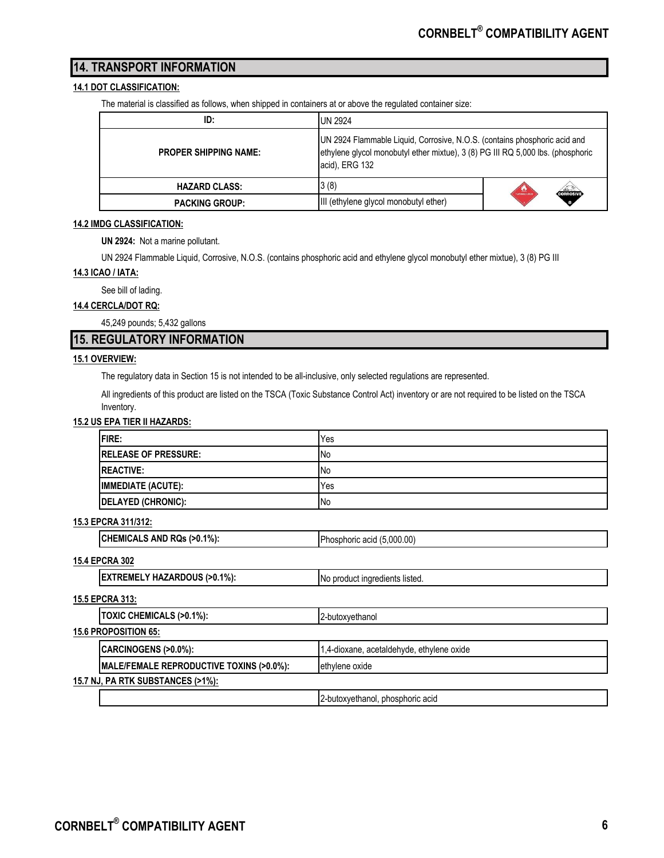# **14. TRANSPORT INFORMATION**

#### **14.1 DOT CLASSIFICATION:**

The material is classified as follows, when shipped in containers at or above the regulated container size:

| ID:                          | <b>UN 2924</b>                                                                                                                                                                 |                                                                                                                                                                                                                                                                                                                                                                                                                                                           |
|------------------------------|--------------------------------------------------------------------------------------------------------------------------------------------------------------------------------|-----------------------------------------------------------------------------------------------------------------------------------------------------------------------------------------------------------------------------------------------------------------------------------------------------------------------------------------------------------------------------------------------------------------------------------------------------------|
| <b>PROPER SHIPPING NAME:</b> | UN 2924 Flammable Liquid, Corrosive, N.O.S. (contains phosphoric acid and<br>ethylene glycol monobutyl ether mixtue), 3 (8) PG III RQ 5,000 lbs. (phosphoric<br>acid), ERG 132 |                                                                                                                                                                                                                                                                                                                                                                                                                                                           |
| <b>HAZARD CLASS:</b>         | 3(8)                                                                                                                                                                           | $\begin{array}{c} \hline \textbf{1} & \textbf{1} \\ \textbf{2} & \textbf{3} \\ \textbf{3} & \textbf{4} \\ \textbf{4} & \textbf{5} \\ \textbf{5} & \textbf{6} \\ \textbf{6} & \textbf{7} \\ \textbf{7} & \textbf{8} \\ \textbf{8} & \textbf{9} \\ \textbf{10} & \textbf{10} \\ \textbf{11} & \textbf{10} \\ \textbf{12} & \textbf{12} \\ \textbf{13} & \textbf{16} \\ \textbf{16} & \textbf{17} \\ \textbf{18} & \textbf{18} \\ \text$<br><b>CORROSIVE</b> |
| <b>PACKING GROUP:</b>        | III (ethylene glycol monobutyl ether)                                                                                                                                          |                                                                                                                                                                                                                                                                                                                                                                                                                                                           |

#### **14.2 IMDG CLASSIFICATION:**

**UN 2924:** Not a marine pollutant.

UN 2924 Flammable Liquid, Corrosive, N.O.S. (contains phosphoric acid and ethylene glycol monobutyl ether mixtue), 3 (8) PG III

#### **14.3 ICAO / IATA:**

See bill of lading.

#### **14.4 CERCLA/DOT RQ:**

45,249 pounds; 5,432 gallons

# **15. REGULATORY INFORMATION**

#### **15.1 OVERVIEW:**

The regulatory data in Section 15 is not intended to be all-inclusive, only selected regulations are represented.

All ingredients of this product are listed on the TSCA (Toxic Substance Control Act) inventory or are not required to be listed on the TSCA Inventory.

#### **15.2 US EPA TIER II HAZARDS:**

| <b>FIRE:</b>                | Yes        |
|-----------------------------|------------|
| <b>RELEASE OF PRESSURE:</b> | INo        |
| <b>IREACTIVE:</b>           | <b>INo</b> |
| <b>IMMEDIATE (ACUTE):</b>   | Yes        |
| <b>DELAYED (CHRONIC):</b>   | .No        |

#### **15.3 EPCRA 311/312:**

**CHEMICALS AND RQs (>0.1%):** Phosphoric acid (5,000.00)

#### **15.4 EPCRA 302**

| <b>EXTREMELY HAZARDOUS (&gt;0.1%):</b> | No product ingredients listed. |
|----------------------------------------|--------------------------------|
|----------------------------------------|--------------------------------|

#### **15.5 EPCRA 313:**

|                             | TOXIC CHEMICALS (>0.1%):                            | 2-butoxvethanol                           |  |
|-----------------------------|-----------------------------------------------------|-------------------------------------------|--|
| <b>15.6 PROPOSITION 65:</b> |                                                     |                                           |  |
|                             | CARCINOGENS (>0.0%):                                | 1,4-dioxane, acetaldehyde, ethylene oxide |  |
|                             | <b>IMALE/FEMALE REPRODUCTIVE TOXINS (&gt;0.0%):</b> | ethylene oxide                            |  |
|                             | <u>15.7 NJ, PA RTK SUBSTANCES (&gt;1%):</u>         |                                           |  |
|                             |                                                     | 2-butoxyethanol, phosphoric acid          |  |